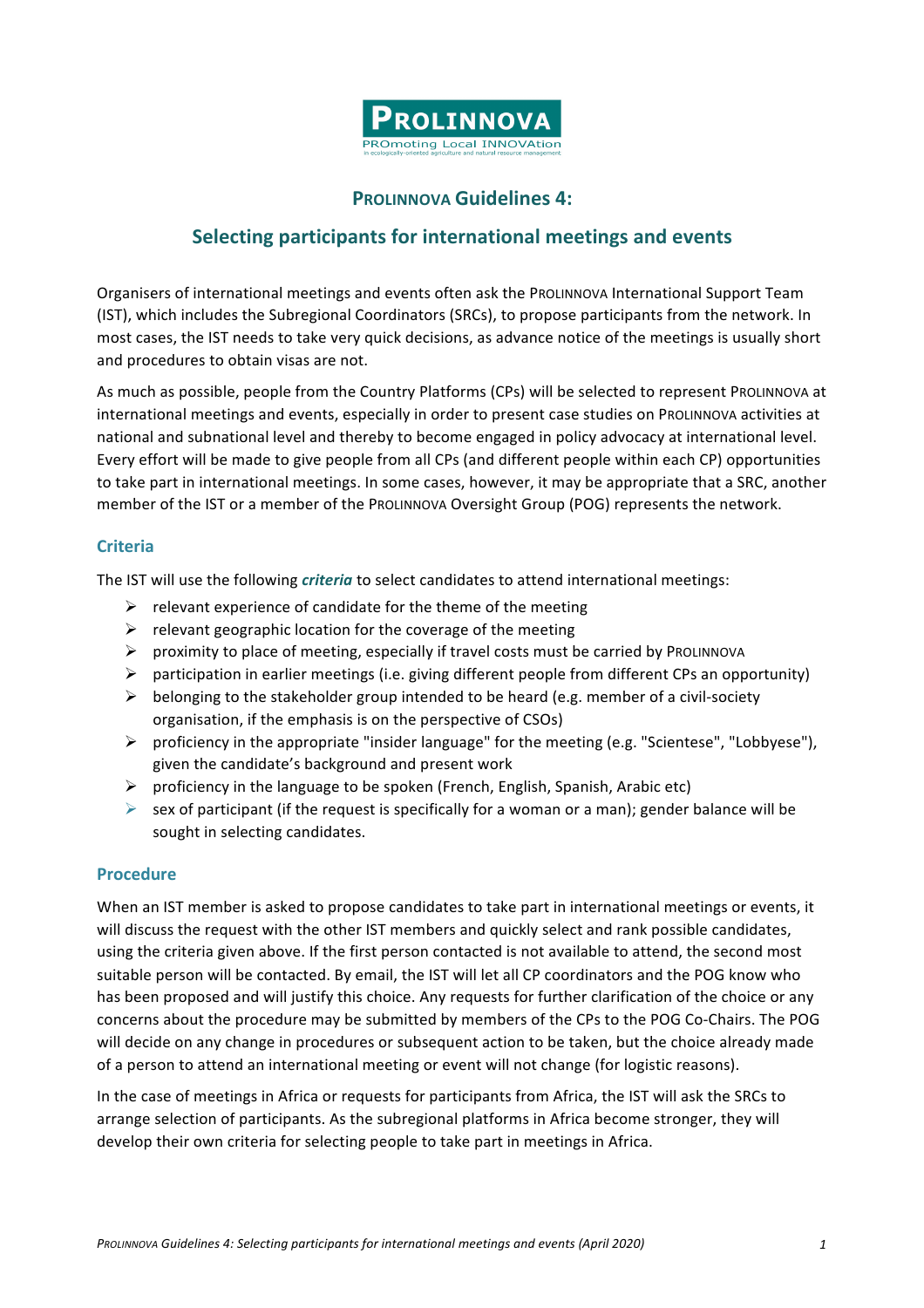

## **PROLINNOVA Guidelines 4:**

## **Selecting participants for international meetings and events**

Organisers of international meetings and events often ask the PROLINNOVA International Support Team (IST), which includes the Subregional Coordinators (SRCs), to propose participants from the network. In most cases, the IST needs to take very quick decisions, as advance notice of the meetings is usually short and procedures to obtain visas are not.

As much as possible, people from the Country Platforms (CPs) will be selected to represent PROLINNOVA at international meetings and events, especially in order to present case studies on PROLINNOVA activities at national and subnational level and thereby to become engaged in policy advocacy at international level. Every effort will be made to give people from all CPs (and different people within each CP) opportunities to take part in international meetings. In some cases, however, it may be appropriate that a SRC, another member of the IST or a member of the PROLINNOVA Oversight Group (POG) represents the network.

## **Criteria**

The IST will use the following *criteria* to select candidates to attend international meetings:

- $\triangleright$  relevant experience of candidate for the theme of the meeting
- $\triangleright$  relevant geographic location for the coverage of the meeting
- $\triangleright$  proximity to place of meeting, especially if travel costs must be carried by PROLINNOVA
- $\triangleright$  participation in earlier meetings (i.e. giving different people from different CPs an opportunity)
- $\triangleright$  belonging to the stakeholder group intended to be heard (e.g. member of a civil-society organisation, if the emphasis is on the perspective of CSOs)
- ▶ proficiency in the appropriate "insider language" for the meeting (e.g. "Scientese", "Lobbyese"), given the candidate's background and present work
- $\triangleright$  proficiency in the language to be spoken (French, English, Spanish, Arabic etc)
- $\triangleright$  sex of participant (if the request is specifically for a woman or a man); gender balance will be sought in selecting candidates.

## **Procedure**

When an IST member is asked to propose candidates to take part in international meetings or events, it will discuss the request with the other IST members and quickly select and rank possible candidates, using the criteria given above. If the first person contacted is not available to attend, the second most suitable person will be contacted. By email, the IST will let all CP coordinators and the POG know who has been proposed and will justify this choice. Any requests for further clarification of the choice or any concerns about the procedure may be submitted by members of the CPs to the POG Co-Chairs. The POG will decide on any change in procedures or subsequent action to be taken, but the choice already made of a person to attend an international meeting or event will not change (for logistic reasons).

In the case of meetings in Africa or requests for participants from Africa, the IST will ask the SRCs to arrange selection of participants. As the subregional platforms in Africa become stronger, they will develop their own criteria for selecting people to take part in meetings in Africa.